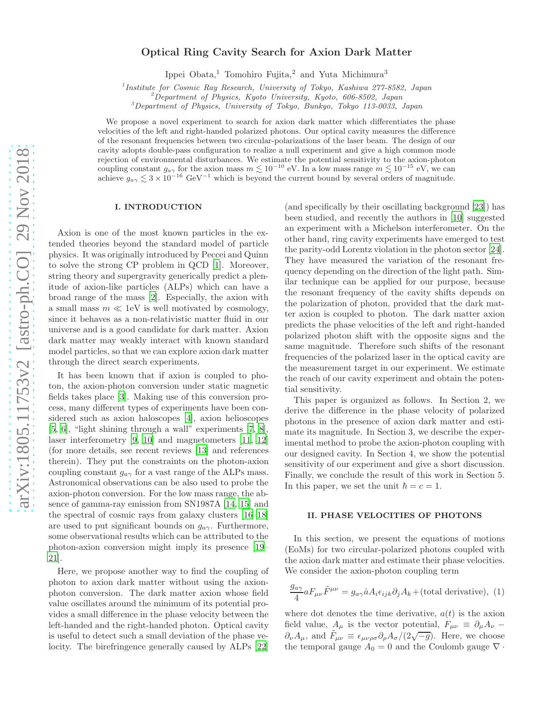# Optical Ring Cavity Search for Axion Dark Matter

Ippei Obata,<sup>1</sup> Tomohiro Fujita,<sup>2</sup> and Yuta Michimura<sup>3</sup>

<sup>1</sup> Institute for Cosmic Ray Research, University of Tokyo, Kashiwa 277-8582, Japan

 $2^2$ Department of Physics, Kyoto University, Kyoto, 606-8502, Japan

<sup>3</sup>Department of Physics, University of Tokyo, Bunkyo, Tokyo 113-0033, Japan

We propose a novel experiment to search for axion dark matter which differentiates the phase velocities of the left and right-handed polarized photons. Our optical cavity measures the difference of the resonant frequencies between two circular-polarizations of the laser beam. The design of our cavity adopts double-pass configuration to realize a null experiment and give a high common mode rejection of environmental disturbances. We estimate the potential sensitivity to the axion-photon coupling constant  $g_{\alpha\gamma}$  for the axion mass  $m \lesssim 10^{-10}$  eV. In a low mass range  $m \lesssim 10^{-15}$  eV, we can achieve  $g_{a\gamma} \lesssim 3 \times 10^{-16}$  GeV<sup>-1</sup> which is beyond the current bound by several orders of magnitude.

# I. INTRODUCTION

Axion is one of the most known particles in the extended theories beyond the standard model of particle physics. It was originally introduced by Peccei and Quinn to solve the strong CP problem in QCD [\[1](#page-3-0)]. Moreover, string theory and supergravity generically predict a plenitude of axion-like particles (ALPs) which can have a broad range of the mass [\[2](#page-3-1)]. Especially, the axion with a small mass  $m \ll 1$ eV is well motivated by cosmology, since it behaves as a non-relativistic matter fluid in our universe and is a good candidate for dark matter. Axion dark matter may weakly interact with known standard model particles, so that we can explore axion dark matter through the direct search experiments.

It has been known that if axion is coupled to photon, the axion-photon conversion under static magnetic fields takes place [\[3](#page-3-2)]. Making use of this conversion process, many different types of experiments have been considered such as axion haloscopes [\[4\]](#page-3-3), axion helioscopes  $[5, 6]$  $[5, 6]$  $[5, 6]$ , "light shining through a wall" experiments  $[7, 8]$  $[7, 8]$ , laser interferometry [\[9,](#page-3-8) [10](#page-3-9)] and magnetometers [\[11](#page-3-10), [12](#page-4-0)] (for more details, see recent reviews [\[13\]](#page-4-1) and references therein). They put the constraints on the photon-axion coupling constant  $g_{a\gamma}$  for a vast range of the ALPs mass. Astronomical observations can be also used to probe the axion-photon conversion. For the low mass range, the absence of gamma-ray emission from SN1987A [\[14,](#page-4-2) [15](#page-4-3)] and the spectral of cosmic rays from galaxy clusters [\[16](#page-4-4)[–18\]](#page-4-5) are used to put significant bounds on  $g_{a\gamma}$ . Furthermore, some observational results which can be attributed to the photon-axion conversion might imply its presence [\[19](#page-4-6)– [21\]](#page-4-7).

Here, we propose another way to find the coupling of photon to axion dark matter without using the axionphoton conversion. The dark matter axion whose field value oscillates around the minimum of its potential provides a small difference in the phase velocity between the left-handed and the right-handed photon. Optical cavity is useful to detect such a small deviation of the phase velocity. The birefringence generally caused by ALPs [\[22](#page-4-8)]

(and specifically by their oscillating background [\[23](#page-4-9)]) has been studied, and recently the authors in [\[10](#page-3-9)] suggested an experiment with a Michelson interferometer. On the other hand, ring cavity experiments have emerged to test the parity-odd Lorentz violation in the photon sector [\[24\]](#page-4-10). They have measured the variation of the resonant frequency depending on the direction of the light path. Similar technique can be applied for our purpose, because the resonant frequency of the cavity shifts depends on the polarization of photon, provided that the dark matter axion is coupled to photon. The dark matter axion predicts the phase velocities of the left and right-handed polarized photon shift with the opposite signs and the same magnitude. Therefore such shifts of the resonant frequencies of the polarized laser in the optical cavity are the measurement target in our experiment. We estimate the reach of our cavity experiment and obtain the potential sensitivity.

This paper is organized as follows. In Section 2, we derive the difference in the phase velocity of polarized photons in the presence of axion dark matter and estimate its magnitude. In Section 3, we describe the experimental method to probe the axion-photon coupling with our designed cavity. In Section 4, we show the potential sensitivity of our experiment and give a short discussion. Finally, we conclude the result of this work in Section 5. In this paper, we set the unit  $\hbar = c = 1$ .

### II. PHASE VELOCITIES OF PHOTONS

In this section, we present the equations of motions (EoMs) for two circular-polarized photons coupled with the axion dark matter and estimate their phase velocities. We consider the axion-photon coupling term

$$
\frac{g_{a\gamma}}{4} a F_{\mu\nu} \tilde{F}^{\mu\nu} = g_{a\gamma} \dot{a} A_i \epsilon_{ijk} \partial_j A_k + \text{(total derivative)}, \tag{1}
$$

where dot denotes the time derivative,  $a(t)$  is the axion field value,  $A_\mu$  is the vector potential,  $F_{\mu\nu} \equiv \partial_\mu A_\nu$  –  $\partial_{\nu}A_{\mu}$ , and  $\tilde{F}_{\mu\nu} \equiv \epsilon_{\mu\nu\rho\sigma}\partial_{\rho}A_{\sigma}/(2\sqrt{-g})$ . Here, we choose the temporal gauge  $A_0 = 0$  and the Coulomb gauge  $\nabla \cdot$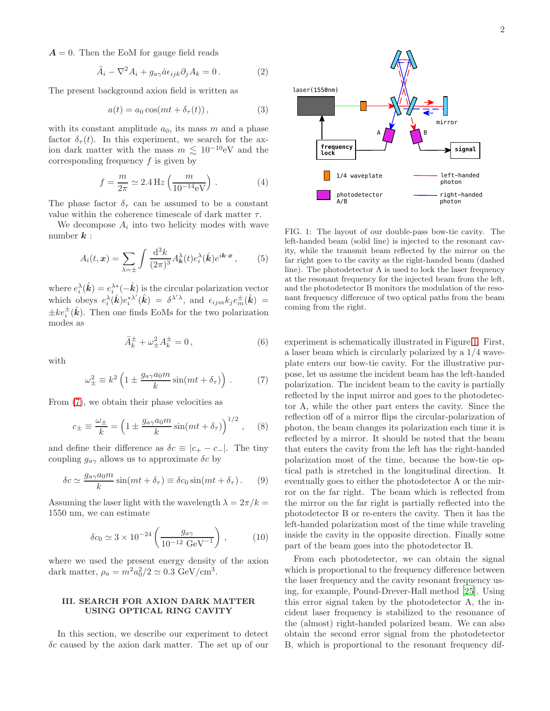$A = 0$ . Then the EoM for gauge field reads

$$
\ddot{A}_i - \nabla^2 A_i + g_{a\gamma} \dot{a} \epsilon_{ijk} \partial_j A_k = 0.
$$
 (2)

The present background axion field is written as

$$
a(t) = a_0 \cos(mt + \delta_\tau(t)), \qquad (3)
$$

with its constant amplitude  $a_0$ , its mass m and a phase factor  $\delta_{\tau}(t)$ . In this experiment, we search for the axion dark matter with the mass  $m \leq 10^{-10}$ eV and the corresponding frequency  $f$  is given by

$$
f = \frac{m}{2\pi} \simeq 2.4 \,\text{Hz} \left( \frac{m}{10^{-14} \text{eV}} \right) \,. \tag{4}
$$

The phase factor  $\delta_{\tau}$  can be assumed to be a constant value within the coherence timescale of dark matter  $\tau$ .

We decompose  $A_i$  into two helicity modes with wave number  $k$  :

$$
A_i(t, \mathbf{x}) = \sum_{\lambda = \pm} \int \frac{\mathrm{d}^3 k}{(2\pi)^3} A_{\mathbf{k}}^{\lambda}(t) e_i^{\lambda}(\hat{\mathbf{k}}) e^{i\mathbf{k} \cdot \mathbf{x}}, \qquad (5)
$$

where  $e_i^{\lambda}(\hat{\mathbf{k}}) = e_i^{\lambda *}(-\hat{\mathbf{k}})$  is the circular polarization vector which obeys  $e_i^{\lambda}(\hat{k})e_i^{*\lambda'}$  $\epsilon^{* \lambda^{'}}_i(\hat{\boldsymbol{k}}) \; = \; \delta^{\lambda^{\prime} \lambda}, \; \mathrm{and} \; \, \epsilon_{ijm} k_j e^{\pm}_m(\hat{\boldsymbol{k}}) \; = \; \;$  $\pm k e_i^{\pm}(\hat{k})$ . Then one finds EoMs for the two polarization modes as

$$
\ddot{A}_k^{\pm} + \omega_{\pm}^2 A_k^{\pm} = 0, \qquad (6)
$$

with

<span id="page-1-0"></span>
$$
\omega_{\pm}^2 \equiv k^2 \left( 1 \pm \frac{g_{a\gamma} a_0 m}{k} \sin(m t + \delta_\tau) \right) . \tag{7}
$$

From [\(7\)](#page-1-0), we obtain their phase velocities as

$$
c_{\pm} \equiv \frac{\omega_{\pm}}{k} = \left(1 \pm \frac{g_{a\gamma}a_0m}{k}\sin(mt + \delta_{\tau})\right)^{1/2}, \quad (8)
$$

and define their difference as  $\delta c \equiv |c_+ - c_-|$ . The tiny coupling  $g_{a\gamma}$  allows us to approximate  $\delta c$  by

$$
\delta c \simeq \frac{g_{a\gamma} a_0 m}{k} \sin(m t + \delta_\tau) \equiv \delta c_0 \sin(m t + \delta_\tau). \tag{9}
$$

Assuming the laser light with the wavelength  $\lambda = 2\pi/k =$ 1550 nm, we can estimate

$$
\delta c_0 \simeq 3 \times 10^{-24} \left( \frac{g_{a\gamma}}{10^{-12} \text{ GeV}^{-1}} \right),
$$
\n(10)

where we used the present energy density of the axion dark matter,  $\rho_a = m^2 a_0^2 / 2 \simeq 0.3 \text{ GeV/cm}^3$ .

## III. SEARCH FOR AXION DARK MATTER USING OPTICAL RING CAVITY

In this section, we describe our experiment to detect  $\delta c$  caused by the axion dark matter. The set up of our



<span id="page-1-1"></span>FIG. 1: The layout of our double-pass bow-tie cavity. The left-handed beam (solid line) is injected to the resonant cavity, while the transmit beam reflected by the mirror on the far right goes to the cavity as the right-handed beam (dashed line). The photodetector A is used to lock the laser frequency at the resonant frequency for the injected beam from the left, and the photodetector B monitors the modulation of the resonant frequency difference of two optical paths from the beam coming from the right.

experiment is schematically illustrated in Figure [1.](#page-1-1) First, a laser beam which is circularly polarized by a 1/4 waveplate enters our bow-tie cavity. For the illustrative purpose, let us assume the incident beam has the left-handed polarization. The incident beam to the cavity is partially reflected by the input mirror and goes to the photodetector A, while the other part enters the cavity. Since the reflection off of a mirror flips the circular-polarization of photon, the beam changes its polarization each time it is reflected by a mirror. It should be noted that the beam that enters the cavity from the left has the right-handed polarization most of the time, because the bow-tie optical path is stretched in the longitudinal direction. It eventually goes to either the photodetector A or the mirror on the far right. The beam which is reflected from the mirror on the far right is partially reflected into the photodetector B or re-enters the cavity. Then it has the left-handed polarization most of the time while traveling inside the cavity in the opposite direction. Finally some part of the beam goes into the photodetector B.

From each photodetector, we can obtain the signal which is proportional to the frequency difference between the laser frequency and the cavity resonant frequency using, for example, Pound-Drever-Hall method [25]. Using this error signal taken by the photodetector A, the incident laser frequency is stabilized to the resonance of the (almost) right-handed polarized beam. We can also obtain the second error signal from the photodetector B, which is proportional to the resonant frequency dif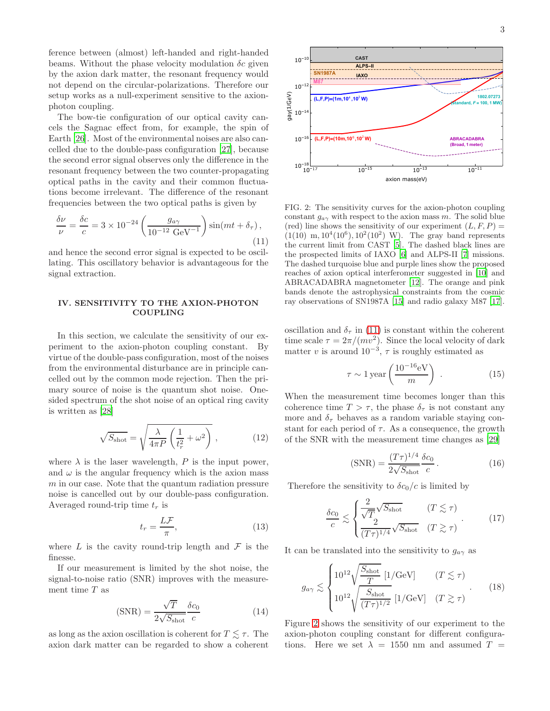ference between (almost) left-handed and right-handed beams. Without the phase velocity modulation  $\delta c$  given by the axion dark matter, the resonant frequency would not depend on the circular-polarizations. Therefore our setup works as a null-experiment sensitive to the axionphoton coupling.

The bow-tie configuration of our optical cavity cancels the Sagnac effect from, for example, the spin of Earth [\[26](#page-4-11)]. Most of the environmental noises are also cancelled due to the double-pass configuration [\[27\]](#page-4-12), because the second error signal observes only the difference in the resonant frequency between the two counter-propagating optical paths in the cavity and their common fluctuations become irrelevant. The difference of the resonant frequencies between the two optical paths is given by

<span id="page-2-0"></span>
$$
\frac{\delta \nu}{\nu} = \frac{\delta c}{c} = 3 \times 10^{-24} \left( \frac{g_{a\gamma}}{10^{-12} \text{ GeV}^{-1}} \right) \sin(mt + \delta_{\tau}), \tag{11}
$$

and hence the second error signal is expected to be oscillating. This oscillatory behavior is advantageous for the signal extraction.

### IV. SENSITIVITY TO THE AXION-PHOTON COUPLING

In this section, we calculate the sensitivity of our experiment to the axion-photon coupling constant. By virtue of the double-pass configuration, most of the noises from the environmental disturbance are in principle cancelled out by the common mode rejection. Then the primary source of noise is the quantum shot noise. Onesided spectrum of the shot noise of an optical ring cavity is written as [\[28\]](#page-4-13)

<span id="page-2-2"></span>
$$
\sqrt{S_{\text{shot}}} = \sqrt{\frac{\lambda}{4\pi P} \left(\frac{1}{t_r^2} + \omega^2\right)} \,, \tag{12}
$$

where  $\lambda$  is the laser wavelength,  $P$  is the input power, and  $\omega$  is the angular frequency which is the axion mass  $m$  in our case. Note that the quantum radiation pressure noise is cancelled out by our double-pass configuration. Averaged round-trip time  $t_r$  is

$$
t_r = \frac{L\mathcal{F}}{\pi},\tag{13}
$$

where  $L$  is the cavity round-trip length and  $\mathcal F$  is the finesse.

If our measurement is limited by the shot noise, the signal-to-noise ratio (SNR) improves with the measurement time T as

$$
(\text{SNR}) = \frac{\sqrt{T}}{2\sqrt{S_{\text{shot}}}} \frac{\delta c_0}{c}
$$
 (14)

as long as the axion oscillation is coherent for  $T \leq \tau$ . The axion dark matter can be regarded to show a coherent



<span id="page-2-1"></span>FIG. 2: The sensitivity curves for the axion-photon coupling constant  $g_{a\gamma}$  with respect to the axion mass m. The solid blue (red) line shows the sensitivity of our experiment  $(L, F, P) =$  $(1(10)$  m,  $10^4(10^6)$ ,  $10^2(10^2)$  W). The gray band represents the current limit from CAST [\[5\]](#page-3-4). The dashed black lines are the prospected limits of IAXO [\[6](#page-3-5)] and ALPS-II [\[7](#page-3-6)] missions. The dashed turquoise blue and purple lines show the proposed reaches of axion optical interferometer suggested in [\[10](#page-3-9)] and ABRACADABRA magnetometer [\[12](#page-4-0)]. The orange and pink bands denote the astrophysical constraints from the cosmic ray observations of SN1987A [\[15](#page-4-3)] and radio galaxy M87 [\[17\]](#page-4-14).

oscillation and  $\delta_{\tau}$  in [\(11\)](#page-2-0) is constant within the coherent time scale  $\tau = 2\pi/(mv^2)$ . Since the local velocity of dark matter v is around  $10^{-3}$ ,  $\tau$  is roughly estimated as

$$
\tau \sim 1 \,\text{year} \left( \frac{10^{-16} \text{eV}}{m} \right) \,. \tag{15}
$$

When the measurement time becomes longer than this coherence time  $T > \tau$ , the phase  $\delta_{\tau}$  is not constant any more and  $\delta_{\tau}$  behaves as a random variable staying constant for each period of  $\tau$ . As a consequence, the growth of the SNR with the measurement time changes as [\[29](#page-4-15)]

$$
(\text{SNR}) = \frac{(T\tau)^{1/4}}{2\sqrt{S_{\text{shot}}}} \frac{\delta c_0}{c}.
$$
 (16)

Therefore the sensitivity to  $\delta c_0/c$  is limited by

$$
\frac{\delta c_0}{c} \lesssim \begin{cases} \frac{2}{\sqrt{T}} \sqrt{S_{\text{shot}}} & (T \lesssim \tau) \\ \frac{2}{(T\tau)^{1/4}} \sqrt{S_{\text{shot}}} & (T \gtrsim \tau) \end{cases} (17)
$$

It can be translated into the sensitivity to  $g_{a\gamma}$  as

$$
g_{a\gamma} \lesssim \begin{cases} 10^{12} \sqrt{\frac{S_{\text{shot}}}{T}} \left[ 1/\text{GeV} \right] & (T \lesssim \tau) \\ 10^{12} \sqrt{\frac{S_{\text{shot}}}{(T\tau)^{1/2}}} \left[ 1/\text{GeV} \right] & (T \gtrsim \tau) \end{cases} (18)
$$

Figure [2](#page-2-1) shows the sensitivity of our experiment to the axion-photon coupling constant for different configurations. Here we set  $\lambda = 1550$  nm and assumed  $T =$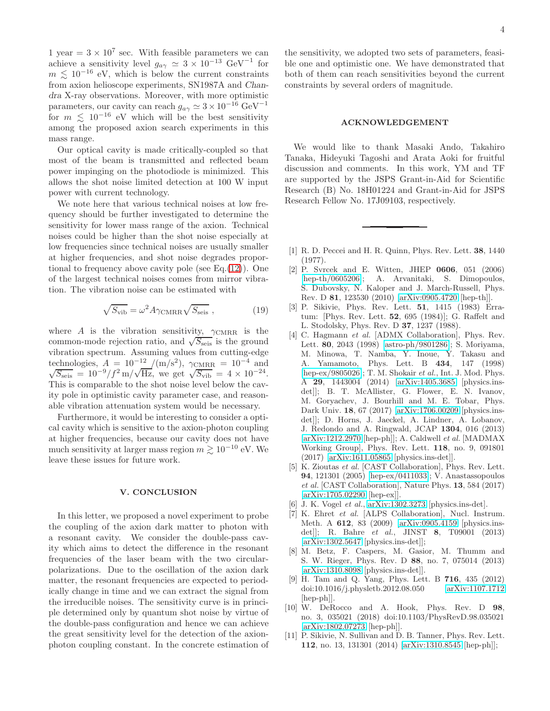1 year =  $3 \times 10^7$  sec. With feasible parameters we can achieve a sensitivity level  $g_{a\gamma} \simeq 3 \times 10^{-13} \text{ GeV}^{-1}$  for  $m \lesssim 10^{-16}$  eV, which is below the current constraints from axion helioscope experiments, SN1987A and Chandra X-ray observations. Moreover, with more optimistic parameters, our cavity can reach  $g_{a\gamma} \simeq 3 \times 10^{-16} \text{ GeV}^{-1}$ for  $m \leq 10^{-16}$  eV which will be the best sensitivity among the proposed axion search experiments in this mass range.

Our optical cavity is made critically-coupled so that most of the beam is transmitted and reflected beam power impinging on the photodiode is minimized. This allows the shot noise limited detection at 100 W input power with current technology.

We note here that various technical noises at low frequency should be further investigated to determine the sensitivity for lower mass range of the axion. Technical noises could be higher than the shot noise especially at low frequencies since technical noises are usually smaller at higher frequencies, and shot noise degrades proportional to frequency above cavity pole (see Eq. $(12)$ ). One of the largest technical noises comes from mirror vibration. The vibration noise can be estimated with

$$
\sqrt{S_{\rm vib}} = \omega^2 A \gamma_{\rm CMRR} \sqrt{S_{\rm seis}} \,, \tag{19}
$$

where A is the vibration sensitivity,  $\gamma_{\text{CMRR}}$  is the common-mode rejection ratio, and  $\sqrt{S_{\text{seis}}}$  is the ground vibration spectrum. Assuming values from cutting-edge technologies,  $A = 10^{-12} / (m/s^2)$ ,  $\gamma_{\text{CMRR}} = 10^{-4}$  and  $\sqrt{S_{\text{seis}}} = 10^{-9} / f^2$  m/ $\sqrt{Hz}$ , we get  $\sqrt{S_{\text{vib}}} = 4 \times 10^{-24}$ . This is comparable to the shot noise level below the cavity pole in optimistic cavity parameter case, and reasonable vibration attenuation system would be necessary.

Furthermore, it would be interesting to consider a optical cavity which is sensitive to the axion-photon coupling at higher frequencies, because our cavity does not have much sensitivity at larger mass region  $m \gtrsim 10^{-10}$  eV. We leave these issues for future work.

#### V. CONCLUSION

In this letter, we proposed a novel experiment to probe the coupling of the axion dark matter to photon with a resonant cavity. We consider the double-pass cavity which aims to detect the difference in the resonant frequencies of the laser beam with the two circularpolarizations. Due to the oscillation of the axion dark matter, the resonant frequencies are expected to periodically change in time and we can extract the signal from the irreducible noises. The sensitivity curve is in principle determined only by quantum shot noise by virtue of the double-pass configuration and hence we can achieve the great sensitivity level for the detection of the axionphoton coupling constant. In the concrete estimation of the sensitivity, we adopted two sets of parameters, feasible one and optimistic one. We have demonstrated that both of them can reach sensitivities beyond the current constraints by several orders of magnitude.

#### ACKNOWLEDGEMENT

We would like to thank Masaki Ando, Takahiro Tanaka, Hideyuki Tagoshi and Arata Aoki for fruitful discussion and comments. In this work, YM and TF are supported by the JSPS Grant-in-Aid for Scientific Research (B) No. 18H01224 and Grant-in-Aid for JSPS Research Fellow No. 17J09103, respectively.

- <span id="page-3-0"></span>[1] R. D. Peccei and H. R. Quinn, Phys. Rev. Lett. 38, 1440 (1977).
- <span id="page-3-1"></span>[2] P. Svrcek and E. Witten, JHEP 0606, 051 (2006) [\[hep-th/0605206\]](http://arxiv.org/abs/hep-th/0605206); A. Arvanitaki, S. Dimopoulos, S. Dubovsky, N. Kaloper and J. March-Russell, Phys. Rev. D 81, 123530 (2010) [\[arXiv:0905.4720](http://arxiv.org/abs/0905.4720) [hep-th]].
- <span id="page-3-2"></span>[3] P. Sikivie, Phys. Rev. Lett. 51, 1415 (1983) Erratum: [Phys. Rev. Lett. 52, 695 (1984)]; G. Raffelt and L. Stodolsky, Phys. Rev. D 37, 1237 (1988).
- <span id="page-3-3"></span>[4] C. Hagmann et al. [ADMX Collaboration], Phys. Rev. Lett. 80, 2043 (1998) [\[astro-ph/9801286\]](http://arxiv.org/abs/astro-ph/9801286); S. Moriyama, M. Minowa, T. Namba, Y. Inoue, Y. Takasu and A. Yamamoto, Phys. Lett. B 434, 147 (1998) [\[hep-ex/9805026\]](http://arxiv.org/abs/hep-ex/9805026); T. M. Shokair et al., Int. J. Mod. Phys. A 29, 1443004 (2014) [\[arXiv:1405.3685](http://arxiv.org/abs/1405.3685) [physics.insdet]]; B. T. McAllister, G. Flower, E. N. Ivanov, M. Goryachev, J. Bourhill and M. E. Tobar, Phys. Dark Univ. 18, 67 (2017) [\[arXiv:1706.00209](http://arxiv.org/abs/1706.00209) [physics.insdet]]; D. Horns, J. Jaeckel, A. Lindner, A. Lobanov, J. Redondo and A. Ringwald, JCAP 1304, 016 (2013) [\[arXiv:1212.2970](http://arxiv.org/abs/1212.2970) [hep-ph]]; A. Caldwell et al. [MADMAX Working Group], Phys. Rev. Lett. 118, no. 9, 091801 (2017) [\[arXiv:1611.05865](http://arxiv.org/abs/1611.05865) [physics.ins-det]].
- <span id="page-3-4"></span>[5] K. Zioutas et al. [CAST Collaboration], Phys. Rev. Lett. 94, 121301 (2005) [\[hep-ex/0411033\]](http://arxiv.org/abs/hep-ex/0411033); V. Anastassopoulos et al. [CAST Collaboration], Nature Phys. 13, 584 (2017) [\[arXiv:1705.02290](http://arxiv.org/abs/1705.02290) [hep-ex]].
- <span id="page-3-5"></span>[6] J. K. Vogel *et al.*, [arXiv:1302.3273](http://arxiv.org/abs/1302.3273) [physics.ins-det].
- <span id="page-3-6"></span>[7] K. Ehret et al. [ALPS Collaboration], Nucl. Instrum. Meth. A 612, 83 (2009) [\[arXiv:0905.4159](http://arxiv.org/abs/0905.4159) [physics.insdet]]; R. Bahre et al., JINST 8, T09001 (2013) [\[arXiv:1302.5647](http://arxiv.org/abs/1302.5647) [physics.ins-det]];
- <span id="page-3-7"></span>[8] M. Betz, F. Caspers, M. Gasior, M. Thumm and S. W. Rieger, Phys. Rev. D 88, no. 7, 075014 (2013) [\[arXiv:1310.8098](http://arxiv.org/abs/1310.8098) [physics.ins-det]].
- <span id="page-3-8"></span>[9] H. Tam and Q. Yang, Phys. Lett. B 716, 435 (2012) doi:10.1016/j.physletb.2012.08.050 [\[arXiv:1107.1712](http://arxiv.org/abs/1107.1712) [hep-ph]].
- <span id="page-3-9"></span>[10] W. DeRocco and A. Hook, Phys. Rev. D 98, no. 3, 035021 (2018) doi:10.1103/PhysRevD.98.035021 [\[arXiv:1802.07273](http://arxiv.org/abs/1802.07273) [hep-ph]].
- <span id="page-3-10"></span>[11] P. Sikivie, N. Sullivan and D. B. Tanner, Phys. Rev. Lett. 112, no. 13, 131301 (2014) [\[arXiv:1310.8545](http://arxiv.org/abs/1310.8545) [hep-ph]];